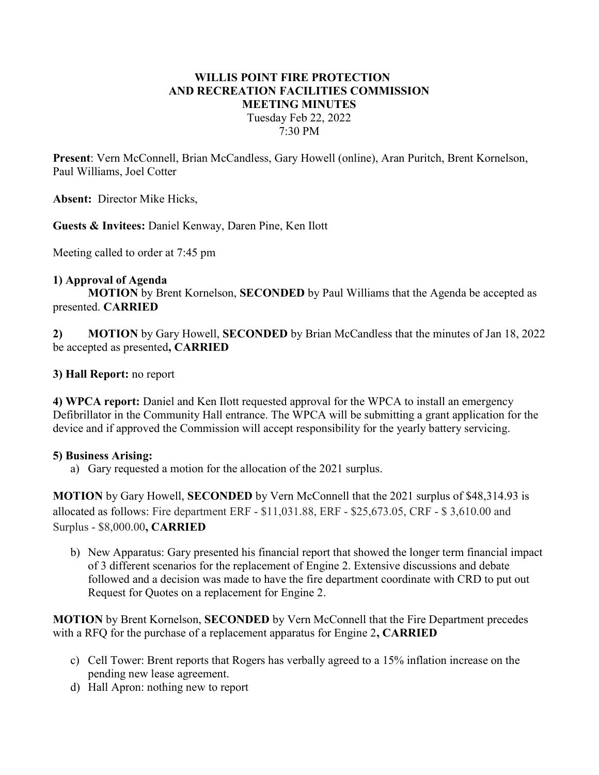# WILLIS POINT FIRE PROTECTION AND RECREATION FACILITIES COMMISSION MEETING MINUTES Tuesday Feb 22, 2022 7:30 PM

Present: Vern McConnell, Brian McCandless, Gary Howell (online), Aran Puritch, Brent Kornelson, Paul Williams, Joel Cotter

Absent: Director Mike Hicks,

Guests & Invitees: Daniel Kenway, Daren Pine, Ken Ilott

Meeting called to order at 7:45 pm

#### 1) Approval of Agenda

MOTION by Brent Kornelson, SECONDED by Paul Williams that the Agenda be accepted as presented. CARRIED

2) MOTION by Gary Howell, SECONDED by Brian McCandless that the minutes of Jan 18, 2022 be accepted as presented, CARRIED

### 3) Hall Report: no report

4) WPCA report: Daniel and Ken Ilott requested approval for the WPCA to install an emergency Defibrillator in the Community Hall entrance. The WPCA will be submitting a grant application for the device and if approved the Commission will accept responsibility for the yearly battery servicing.

#### 5) Business Arising:

a) Gary requested a motion for the allocation of the 2021 surplus.

MOTION by Gary Howell, SECONDED by Vern McConnell that the 2021 surplus of \$48,314.93 is allocated as follows: Fire department ERF - \$11,031.88, ERF - \$25,673.05, CRF - \$ 3,610.00 and Surplus - \$8,000.00, CARRIED

b) New Apparatus: Gary presented his financial report that showed the longer term financial impact of 3 different scenarios for the replacement of Engine 2. Extensive discussions and debate followed and a decision was made to have the fire department coordinate with CRD to put out Request for Quotes on a replacement for Engine 2.

MOTION by Brent Kornelson, SECONDED by Vern McConnell that the Fire Department precedes with a RFQ for the purchase of a replacement apparatus for Engine 2, CARRIED

- c) Cell Tower: Brent reports that Rogers has verbally agreed to a 15% inflation increase on the pending new lease agreement.
- d) Hall Apron: nothing new to report